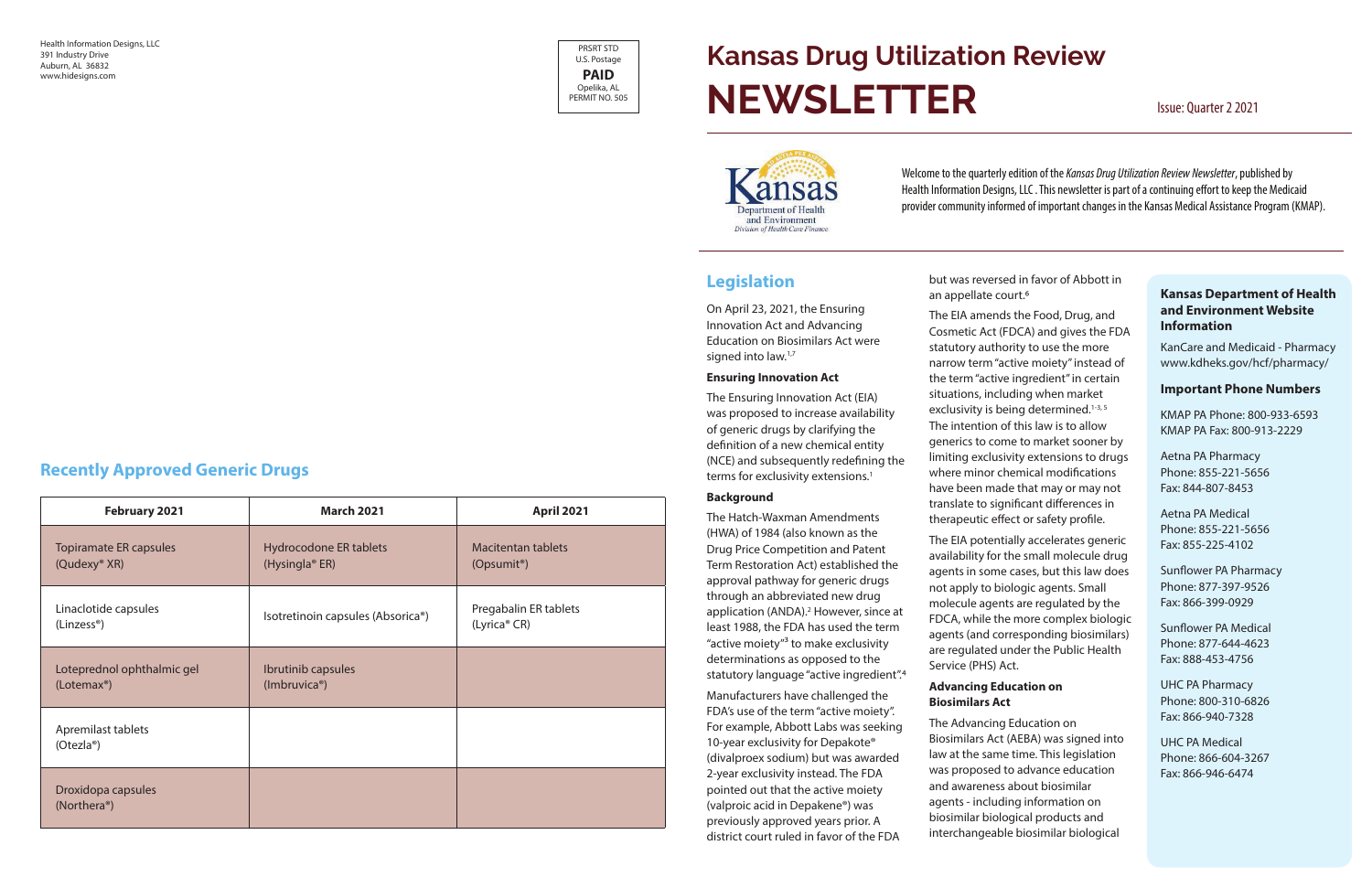#### **Kansas Department of Health and Environment Website Information**

KanCare and Medicaid - Pharmacy www.kdheks.gov/hcf/pharmacy/

#### **Important Phone Numbers**

KMAP PA Phone: 800-933-6593 KMAP PA Fax: 800-913-2229

Aetna PA Pharmacy Phone: 855-221-5656 Fax: 844-807-8453

Aetna PA Medical Phone: 855-221-5656 Fax: 855-225-4102

Sunflower PA Pharmacy Phone: 877-397-9526 Fax: 866-399-0929

On April 23, 2021, the Ensuring Innovation Act and Advancing Education on Biosimilars Act were signed into law.<sup>1,7</sup>

> Sunflower PA Medical Phone: 877-644-4623 Fax: 888-453-4756

The Ensuring Innovation Act (EIA) was proposed to increase availability of generic drugs by clarifying the definition of a new chemical entity (NCE) and subsequently redefining the terms for exclusivity extensions.<sup>1</sup>

> UHC PA Pharmacy Phone: 800-310-6826 Fax: 866-940-7328

> UHC PA Medical Phone: 866-604-3267 Fax: 866-946-6474

PRSRT STD U.S. Postage **PAID** Opelika, AL PERMIT NO. 505

Health Information Designs, LLC 391 Industry Drive Auburn, AL 36832 www.hidesigns.com

# **Legislation**

#### **Ensuring Innovation Act**

#### **Background**

The Hatch-Waxman Amendments (HWA) of 1984 (also known as the Drug Price Competition and Patent Term Restoration Act) established the approval pathway for generic drugs through an abbreviated new drug application (ANDA).<sup>2</sup> However, since at least 1988, the FDA has used the term "active moiety"3 to make exclusivity determinations as opposed to the statutory language "active ingredient".4

Manufacturers have challenged the FDA's use of the term "active moiety". For example, Abbott Labs was seeking 10-year exclusivity for Depakote® (divalproex sodium) but was awarded 2-year exclusivity instead. The FDA pointed out that the active moiety (valproic acid in Depakene®) was previously approved years prior. A district court ruled in favor of the FDA

an appellate court.<sup>6</sup>

# **Kansas Drug Utilization Review NEWSLETTER** Issue: Quarter 2 2021



but was reversed in favor of Abbott in

The EIA amends the Food, Drug, and Cosmetic Act (FDCA) and gives the FDA statutory authority to use the more narrow term "active moiety" instead of the term "active ingredient" in certain situations, including when market exclusivity is being determined.<sup>1-3, 5</sup> The intention of this law is to allow generics to come to market sooner by limiting exclusivity extensions to drugs where minor chemical modifications have been made that may or may not translate to significant differences in therapeutic effect or safety profile.

The EIA potentially accelerates generic availability for the small molecule drug agents in some cases, but this law does not apply to biologic agents. Small molecule agents are regulated by the FDCA, while the more complex biologic agents (and corresponding biosimilars) are regulated under the Public Health Service (PHS) Act.

### **Advancing Education on Biosimilars Act**

The Advancing Education on Biosimilars Act (AEBA) was signed into law at the same time. This legislation was proposed to advance education and awareness about biosimilar agents - including information on biosimilar biological products and interchangeable biosimilar biological

# **Recently Approved Generic Drugs**

| February 2021                                      | <b>March 2021</b>                                    | <b>April 2021</b>                                    |
|----------------------------------------------------|------------------------------------------------------|------------------------------------------------------|
| Topiramate ER capsules<br>(Qudexy <sup>®</sup> XR) | Hydrocodone ER tablets<br>(Hysingla <sup>®</sup> ER) | <b>Macitentan tablets</b><br>(Opsumit <sup>®</sup> ) |
| Linaclotide capsules<br>(Linzess <sup>®</sup> )    | Isotretinoin capsules (Absorica®)                    | Pregabalin ER tablets<br>(Lyrica® CR)                |
| Loteprednol ophthalmic gel<br>$(Lotemax^{\circ})$  | Ibrutinib capsules<br>(Imbruvica®)                   |                                                      |
| Apremilast tablets<br>(Otezla <sup>®</sup> )       |                                                      |                                                      |
| Droxidopa capsules<br>(Northera <sup>®</sup> )     |                                                      |                                                      |

Welcome to the quarterly edition of the *Kansas Drug Utilization Review Newsletter*, published by Health Information Designs, LLC . This newsletter is part of a continuing effort to keep the Medicaid provider community informed of important changes in the Kansas Medical Assistance Program (KMAP).